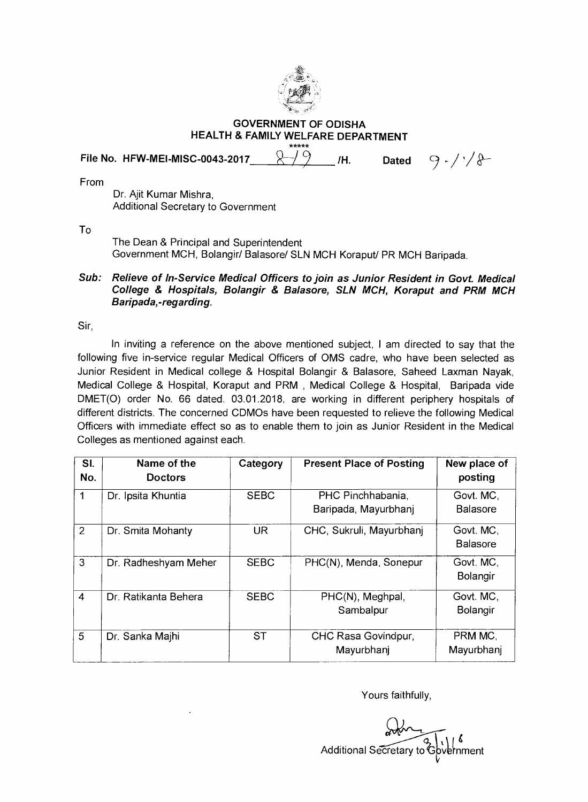

**GOVERNMENT OF ODISHA HEALTH & FAMILY WELFARE DEPARTMENT**  \*\*\*\*\*

File No. HFW-MEI-MISC-0043-2017\_\_\_\_\_<del>\_\_\_\_\_\_\_\_\_\_\_\_</del>\_\_\_\_\_/H. Dated  $\Box$  p - / ' / &

From

Dr. Ajit Kumar Mishra, Additional Secretary to Government

To

The Dean & Principal and Superintendent Government MCH, Bolangir/ Balasore/ SLN MCH Koraput/ PR MCH Baripada.

**Sub: Relieve of In-Service Medical Officers to join as Junior Resident in Govt. Medical College & Hospitals, Bolangir & Balasore, SLN MCH, Koraput and PRM MCH Baripada,-regarding.** 

Sir,

In inviting a reference on the above mentioned subject, I am directed to say that the following five in-service regular Medical Officers of OMS cadre, who have been selected as Junior Resident in Medical college & Hospital Bolangir & Balasore, Saheed Laxman Nayak, Medical College & Hospital, Koraput and PRM , Medical College & Hospital, Baripada vide DMET(0) order No. 66 dated. 03.01.2018, are working in different periphery hospitals of different districts. The concerned CDMOs have been requested to relieve the following Medical Officers with immediate effect so as to enable them to join as Junior Resident in the Medical Colleges as mentioned against each.

| SI.<br>No.     | Name of the<br><b>Doctors</b> | Category    | <b>Present Place of Posting</b>           | New place of<br>posting      |
|----------------|-------------------------------|-------------|-------------------------------------------|------------------------------|
|                | Dr. Ipsita Khuntia            | <b>SEBC</b> | PHC Pinchhabania,<br>Baripada, Mayurbhanj | Govt. MC,<br><b>Balasore</b> |
| 2              | Dr. Smita Mohanty             | <b>UR</b>   | CHC, Sukruli, Mayurbhanj                  | Govt. MC.<br><b>Balasore</b> |
| 3              | Dr. Radheshyam Meher          | <b>SEBC</b> | PHC(N), Menda, Sonepur                    | Govt. MC.<br>Bolangir        |
| $\overline{4}$ | Dr. Ratikanta Behera          | <b>SEBC</b> | PHC(N), Meghpal,<br>Sambalpur             | Govt. MC,<br>Bolangir        |
| 5              | Dr. Sanka Majhi               | <b>ST</b>   | CHC Rasa Govindpur,<br>Mayurbhanj         | PRM MC.<br>Mayurbhanj        |

Yours faithfully,

Additional Secretary to Government